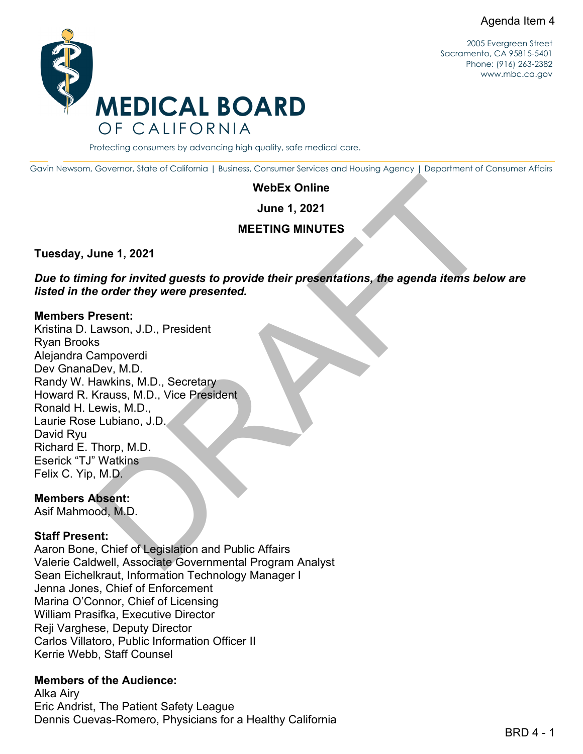

2005 Evergreen Street Sacramento, CA 95815-5401 Phone: (916) 263-2382 [www.mbc.ca.gov](http://www.mbc.ca.gov/)

Protecting consumers by advancing high quality, safe medical care.

Gavin Newsom, Governor, State of California | Business, Consumer Services and Housing Agency | Department of Consumer Affairs

#### **WebEx Online**

**June 1, 2021**

#### **MEETING MINUTES**

**Tuesday, June 1, 2021**

*Due to timing for invited guests to provide their presentations, the agenda items below are listed in the order they were presented.*

#### **Members Present:**

WebEx Online<br>
Ume 1, 2021<br>
MEETING MINUTES<br>
Ume 1, 2021<br>
Ing for invited guests to provide their presentations, the agenda items below are<br>
order they were presented.<br>
Resent:<br>
Second, J.D., President<br>
Chev, M.D.<br>
Using, M Kristina D. Lawson, J.D., President Ryan Brooks Alejandra Campoverdi Dev GnanaDev, M.D. Randy W. Hawkins, M.D., Secretary Howard R. Krauss, M.D., Vice President Ronald H. Lewis, M.D., Laurie Rose Lubiano, J.D. David Ryu Richard E. Thorp, M.D. Eserick "TJ" Watkins Felix C. Yip, M.D.

#### **Members Absent:**

Asif Mahmood, M.D.

#### **Staff Present:**

Aaron Bone, Chief of Legislation and Public Affairs Valerie Caldwell, Associate Governmental Program Analyst Sean Eichelkraut, Information Technology Manager I Jenna Jones, Chief of Enforcement Marina O'Connor, Chief of Licensing William Prasifka, Executive Director Reji Varghese, Deputy Director Carlos Villatoro, Public Information Officer II Kerrie Webb, Staff Counsel

### **Members of the Audience:**

Alka Airy Eric Andrist, The Patient Safety League Dennis Cuevas-Romero, Physicians for a Healthy California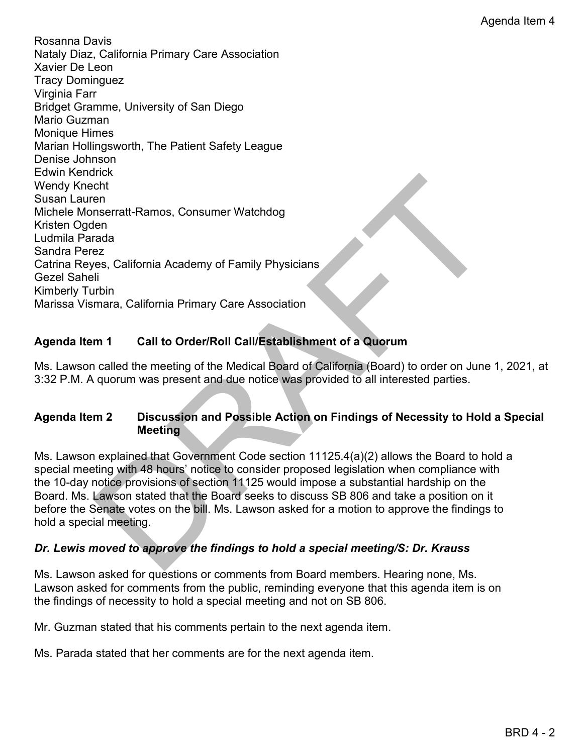The Control of the Board of Family Physicians<br>
The mearatt-Ramos, Consumer Watchdog<br>
Sez<br>
California Academy of Family Physicians<br>
Marximum<br>
The California Primary Care Association<br>
The California Primary Care Association<br> Rosanna Davis Nataly Diaz, California Primary Care Association Xavier De Leon Tracy Dominguez Virginia Farr Bridget Gramme, University of San Diego Mario Guzman Monique Himes Marian Hollingsworth, The Patient Safety League Denise Johnson Edwin Kendrick Wendy Knecht Susan Lauren Michele Monserratt-Ramos, Consumer Watchdog Kristen Ogden Ludmila Parada Sandra Perez Catrina Reyes, California Academy of Family Physicians Gezel Saheli Kimberly Turbin Marissa Vismara, California Primary Care Association

# **Agenda Item 1 Call to Order/Roll Call/Establishment of a Quorum**

Ms. Lawson called the meeting of the Medical Board of California (Board) to order on June 1, 2021, at 3:32 P.M. A quorum was present and due notice was provided to all interested parties.

# **Agenda Item 2 Discussion and Possible Action on Findings of Necessity to Hold a Special Meeting**

Ms. Lawson explained that Government Code section 11125.4(a)(2) allows the Board to hold a special meeting with 48 hours' notice to consider proposed legislation when compliance with the 10-day notice provisions of section 11125 would impose a substantial hardship on the Board. Ms. Lawson stated that the Board seeks to discuss SB 806 and take a position on it before the Senate votes on the bill. Ms. Lawson asked for a motion to approve the findings to hold a special meeting.

# *Dr. Lewis moved to approve the findings to hold a special meeting/S: Dr. Krauss*

Ms. Lawson asked for questions or comments from Board members. Hearing none, Ms. Lawson asked for comments from the public, reminding everyone that this agenda item is on the findings of necessity to hold a special meeting and not on SB 806.

Mr. Guzman stated that his comments pertain to the next agenda item.

Ms. Parada stated that her comments are for the next agenda item.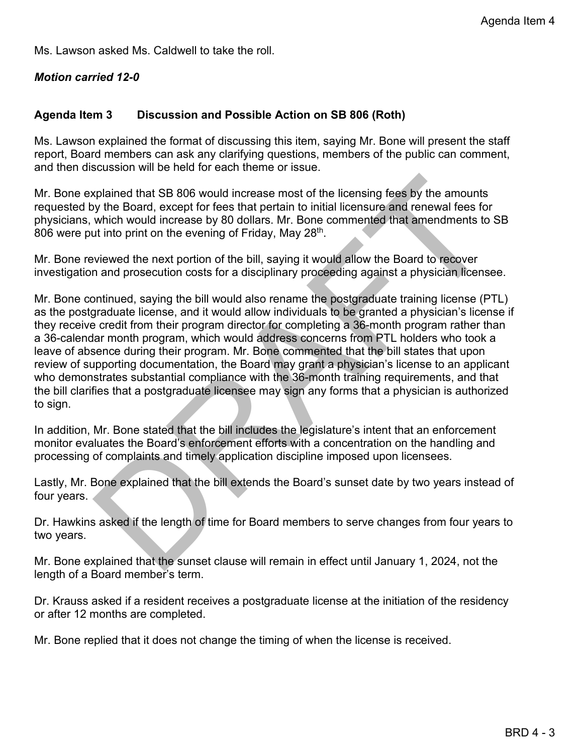Ms. Lawson asked Ms. Caldwell to take the roll.

### *Motion carried 12-0*

### **Agenda Item 3 Discussion and Possible Action on SB 806 (Roth)**

Ms. Lawson explained the format of discussing this item, saying Mr. Bone will present the staff report, Board members can ask any clarifying questions, members of the public can comment, and then discussion will be held for each theme or issue.

Mr. Bone explained that SB 806 would increase most of the licensing fees by the amounts requested by the Board, except for fees that pertain to initial licensure and renewal fees for physicians, which would increase by 80 dollars. Mr. Bone commented that amendments to SB 806 were put into print on the evening of Friday, May 28<sup>th</sup>.

Mr. Bone reviewed the next portion of the bill, saying it would allow the Board to recover investigation and prosecution costs for a disciplinary proceeding against a physician licensee.

plained that SB 806 would increase most of the licensing fees by the amounts<br>where board, except for fees that pertain to initial licensure and renewal fees for<br>which would increase by 80 dolars. Mr. Bone commented that am Mr. Bone continued, saying the bill would also rename the postgraduate training license (PTL) as the postgraduate license, and it would allow individuals to be granted a physician's license if they receive credit from their program director for completing a 36-month program rather than a 36-calendar month program, which would address concerns from PTL holders who took a leave of absence during their program. Mr. Bone commented that the bill states that upon review of supporting documentation, the Board may grant a physician's license to an applicant who demonstrates substantial compliance with the 36-month training requirements, and that the bill clarifies that a postgraduate licensee may sign any forms that a physician is authorized to sign.

In addition, Mr. Bone stated that the bill includes the legislature's intent that an enforcement monitor evaluates the Board's enforcement efforts with a concentration on the handling and processing of complaints and timely application discipline imposed upon licensees.

Lastly, Mr. Bone explained that the bill extends the Board's sunset date by two years instead of four years.

Dr. Hawkins asked if the length of time for Board members to serve changes from four years to two years.

Mr. Bone explained that the sunset clause will remain in effect until January 1, 2024, not the length of a Board member's term.

Dr. Krauss asked if a resident receives a postgraduate license at the initiation of the residency or after 12 months are completed.

Mr. Bone replied that it does not change the timing of when the license is received.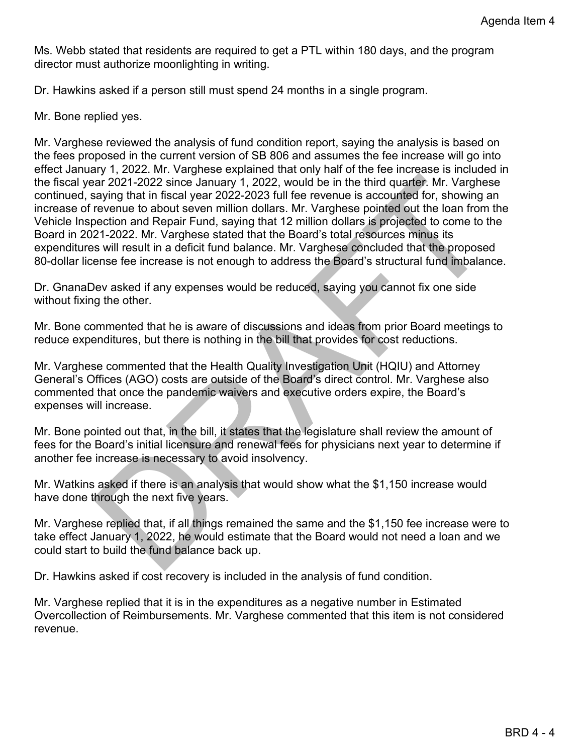Ms. Webb stated that residents are required to get a PTL within 180 days, and the program director must authorize moonlighting in writing.

Dr. Hawkins asked if a person still must spend 24 months in a single program.

Mr. Bone replied yes.

var 2021-2022 since January 1, 2022, would be in the third quarter. Mr. Varghese<br>aying that in fiscal year 2022-2023 full fee revenue is accounted for, showing an<br>ervenue to about sever million dollars. Mr. Varghese pointe Mr. Varghese reviewed the analysis of fund condition report, saying the analysis is based on the fees proposed in the current version of SB 806 and assumes the fee increase will go into effect January 1, 2022. Mr. Varghese explained that only half of the fee increase is included in the fiscal year 2021-2022 since January 1, 2022, would be in the third quarter. Mr. Varghese continued, saying that in fiscal year 2022-2023 full fee revenue is accounted for, showing an increase of revenue to about seven million dollars. Mr. Varghese pointed out the loan from the Vehicle Inspection and Repair Fund, saying that 12 million dollars is projected to come to the Board in 2021-2022. Mr. Varghese stated that the Board's total resources minus its expenditures will result in a deficit fund balance. Mr. Varghese concluded that the proposed 80-dollar license fee increase is not enough to address the Board's structural fund imbalance.

Dr. GnanaDev asked if any expenses would be reduced, saying you cannot fix one side without fixing the other.

Mr. Bone commented that he is aware of discussions and ideas from prior Board meetings to reduce expenditures, but there is nothing in the bill that provides for cost reductions.

Mr. Varghese commented that the Health Quality Investigation Unit (HQIU) and Attorney General's Offices (AGO) costs are outside of the Board's direct control. Mr. Varghese also commented that once the pandemic waivers and executive orders expire, the Board's expenses will increase.

Mr. Bone pointed out that, in the bill, it states that the legislature shall review the amount of fees for the Board's initial licensure and renewal fees for physicians next year to determine if another fee increase is necessary to avoid insolvency.

Mr. Watkins asked if there is an analysis that would show what the \$1,150 increase would have done through the next five years.

Mr. Varghese replied that, if all things remained the same and the \$1,150 fee increase were to take effect January 1, 2022, he would estimate that the Board would not need a loan and we could start to build the fund balance back up.

Dr. Hawkins asked if cost recovery is included in the analysis of fund condition.

Mr. Varghese replied that it is in the expenditures as a negative number in Estimated Overcollection of Reimbursements. Mr. Varghese commented that this item is not considered revenue.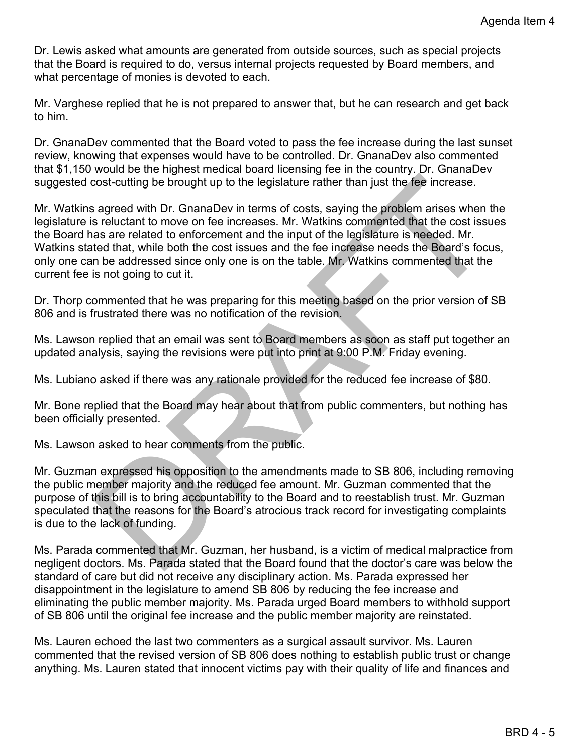Dr. Lewis asked what amounts are generated from outside sources, such as special projects that the Board is required to do, versus internal projects requested by Board members, and what percentage of monies is devoted to each.

Mr. Varghese replied that he is not prepared to answer that, but he can research and get back to him.

Dr. GnanaDev commented that the Board voted to pass the fee increase during the last sunset review, knowing that expenses would have to be controlled. Dr. GnanaDev also commented that \$1,150 would be the highest medical board licensing fee in the country. Dr. GnanaDev suggested cost-cutting be brought up to the legislature rather than just the fee increase.

cost-cutting be brought up to the legislature rather than just the fee increase.<br>
sagreed with Dr. GnanaDev in terms of costs, saying the problem arises when the sreluctant to move on fee increases. Mr. Walkins commented t Mr. Watkins agreed with Dr. GnanaDev in terms of costs, saying the problem arises when the legislature is reluctant to move on fee increases. Mr. Watkins commented that the cost issues the Board has are related to enforcement and the input of the legislature is needed. Mr. Watkins stated that, while both the cost issues and the fee increase needs the Board's focus, only one can be addressed since only one is on the table. Mr. Watkins commented that the current fee is not going to cut it.

Dr. Thorp commented that he was preparing for this meeting based on the prior version of SB 806 and is frustrated there was no notification of the revision.

Ms. Lawson replied that an email was sent to Board members as soon as staff put together an updated analysis, saying the revisions were put into print at 9:00 P.M. Friday evening.

Ms. Lubiano asked if there was any rationale provided for the reduced fee increase of \$80.

Mr. Bone replied that the Board may hear about that from public commenters, but nothing has been officially presented.

Ms. Lawson asked to hear comments from the public.

Mr. Guzman expressed his opposition to the amendments made to SB 806, including removing the public member majority and the reduced fee amount. Mr. Guzman commented that the purpose of this bill is to bring accountability to the Board and to reestablish trust. Mr. Guzman speculated that the reasons for the Board's atrocious track record for investigating complaints is due to the lack of funding.

Ms. Parada commented that Mr. Guzman, her husband, is a victim of medical malpractice from negligent doctors. Ms. Parada stated that the Board found that the doctor's care was below the standard of care but did not receive any disciplinary action. Ms. Parada expressed her disappointment in the legislature to amend SB 806 by reducing the fee increase and eliminating the public member majority. Ms. Parada urged Board members to withhold support of SB 806 until the original fee increase and the public member majority are reinstated.

Ms. Lauren echoed the last two commenters as a surgical assault survivor. Ms. Lauren commented that the revised version of SB 806 does nothing to establish public trust or change anything. Ms. Lauren stated that innocent victims pay with their quality of life and finances and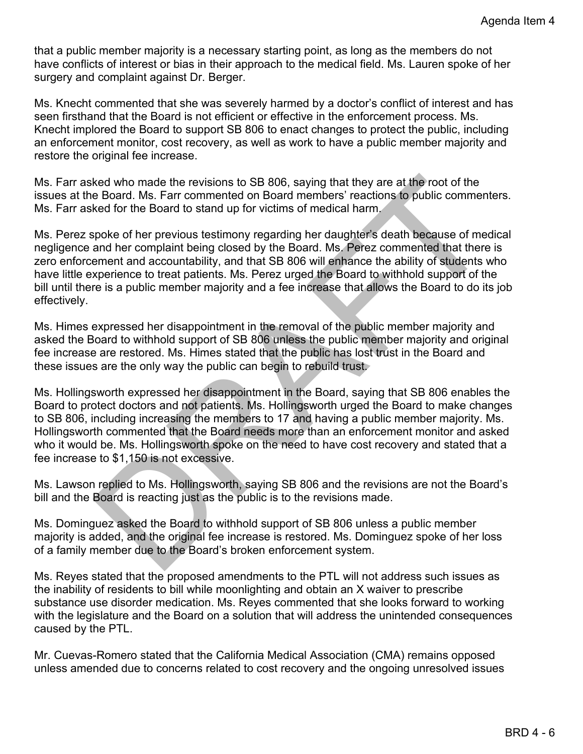that a public member majority is a necessary starting point, as long as the members do not have conflicts of interest or bias in their approach to the medical field. Ms. Lauren spoke of her surgery and complaint against Dr. Berger.

Ms. Knecht commented that she was severely harmed by a doctor's conflict of interest and has seen firsthand that the Board is not efficient or effective in the enforcement process. Ms. Knecht implored the Board to support SB 806 to enact changes to protect the public, including an enforcement monitor, cost recovery, as well as work to have a public member majority and restore the original fee increase.

Ms. Farr asked who made the revisions to SB 806, saying that they are at the root of the issues at the Board. Ms. Farr commented on Board members' reactions to public commenters. Ms. Farr asked for the Board to stand up for victims of medical harm.

ked who made the revisions to SB 806, saying that they are at the root of the<br>He Board. Ms. Far commented on Board members' reactions fo public commenters.<br>Example for the Board to stand up for victims of medical harm,<br>see Ms. Perez spoke of her previous testimony regarding her daughter's death because of medical negligence and her complaint being closed by the Board. Ms. Perez commented that there is zero enforcement and accountability, and that SB 806 will enhance the ability of students who have little experience to treat patients. Ms. Perez urged the Board to withhold support of the bill until there is a public member majority and a fee increase that allows the Board to do its job effectively.

Ms. Himes expressed her disappointment in the removal of the public member majority and asked the Board to withhold support of SB 806 unless the public member majority and original fee increase are restored. Ms. Himes stated that the public has lost trust in the Board and these issues are the only way the public can begin to rebuild trust.

Ms. Hollingsworth expressed her disappointment in the Board, saying that SB 806 enables the Board to protect doctors and not patients. Ms. Hollingsworth urged the Board to make changes to SB 806, including increasing the members to 17 and having a public member majority. Ms. Hollingsworth commented that the Board needs more than an enforcement monitor and asked who it would be. Ms. Hollingsworth spoke on the need to have cost recovery and stated that a fee increase to \$1,150 is not excessive.

Ms. Lawson replied to Ms. Hollingsworth, saying SB 806 and the revisions are not the Board's bill and the Board is reacting just as the public is to the revisions made.

Ms. Dominguez asked the Board to withhold support of SB 806 unless a public member majority is added, and the original fee increase is restored. Ms. Dominguez spoke of her loss of a family member due to the Board's broken enforcement system.

Ms. Reyes stated that the proposed amendments to the PTL will not address such issues as the inability of residents to bill while moonlighting and obtain an X waiver to prescribe substance use disorder medication. Ms. Reyes commented that she looks forward to working with the legislature and the Board on a solution that will address the unintended consequences caused by the PTL.

Mr. Cuevas-Romero stated that the California Medical Association (CMA) remains opposed unless amended due to concerns related to cost recovery and the ongoing unresolved issues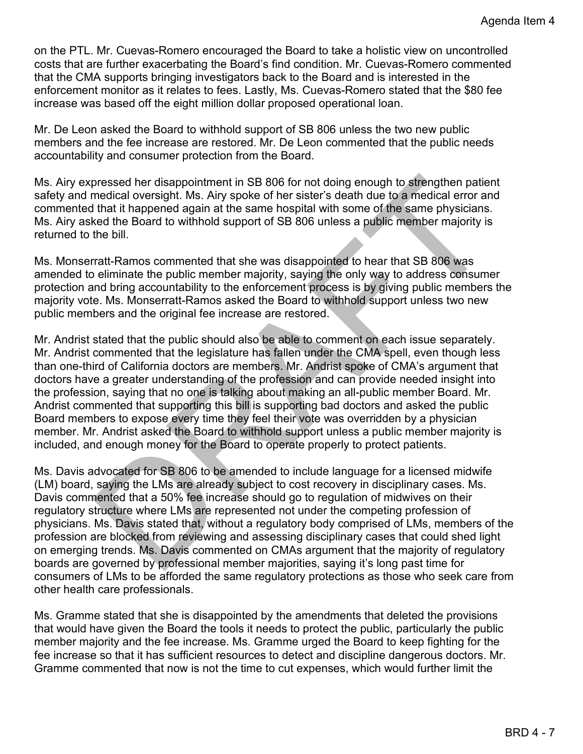on the PTL. Mr. Cuevas-Romero encouraged the Board to take a holistic view on uncontrolled costs that are further exacerbating the Board's find condition. Mr. Cuevas-Romero commented that the CMA supports bringing investigators back to the Board and is interested in the enforcement monitor as it relates to fees. Lastly, Ms. Cuevas-Romero stated that the \$80 fee increase was based off the eight million dollar proposed operational loan.

Mr. De Leon asked the Board to withhold support of SB 806 unless the two new public members and the fee increase are restored. Mr. De Leon commented that the public needs accountability and consumer protection from the Board.

Ms. Airy expressed her disappointment in SB 806 for not doing enough to strengthen patient safety and medical oversight. Ms. Airy spoke of her sister's death due to a medical error and commented that it happened again at the same hospital with some of the same physicians. Ms. Airy asked the Board to withhold support of SB 806 unless a public member majority is returned to the bill.

Ms. Monserratt-Ramos commented that she was disappointed to hear that SB 806 was amended to eliminate the public member majority, saying the only way to address consumer protection and bring accountability to the enforcement process is by giving public members the majority vote. Ms. Monserratt-Ramos asked the Board to withhold support unless two new public members and the original fee increase are restored.

pressed her disappointment in SB 806 for not doing enough to strengthen patient<br>medicial oversight. Ms. Airy spoke of her sister's death due to a medicial error and<br>that it happened again at the same hospital with some of Mr. Andrist stated that the public should also be able to comment on each issue separately. Mr. Andrist commented that the legislature has fallen under the CMA spell, even though less than one-third of California doctors are members. Mr. Andrist spoke of CMA's argument that doctors have a greater understanding of the profession and can provide needed insight into the profession, saying that no one is talking about making an all-public member Board. Mr. Andrist commented that supporting this bill is supporting bad doctors and asked the public Board members to expose every time they feel their vote was overridden by a physician member. Mr. Andrist asked the Board to withhold support unless a public member majority is included, and enough money for the Board to operate properly to protect patients.

Ms. Davis advocated for SB 806 to be amended to include language for a licensed midwife (LM) board, saying the LMs are already subject to cost recovery in disciplinary cases. Ms. Davis commented that a 50% fee increase should go to regulation of midwives on their regulatory structure where LMs are represented not under the competing profession of physicians. Ms. Davis stated that, without a regulatory body comprised of LMs, members of the profession are blocked from reviewing and assessing disciplinary cases that could shed light on emerging trends. Ms. Davis commented on CMAs argument that the majority of regulatory boards are governed by professional member majorities, saying it's long past time for consumers of LMs to be afforded the same regulatory protections as those who seek care from other health care professionals.

Ms. Gramme stated that she is disappointed by the amendments that deleted the provisions that would have given the Board the tools it needs to protect the public, particularly the public member majority and the fee increase. Ms. Gramme urged the Board to keep fighting for the fee increase so that it has sufficient resources to detect and discipline dangerous doctors. Mr. Gramme commented that now is not the time to cut expenses, which would further limit the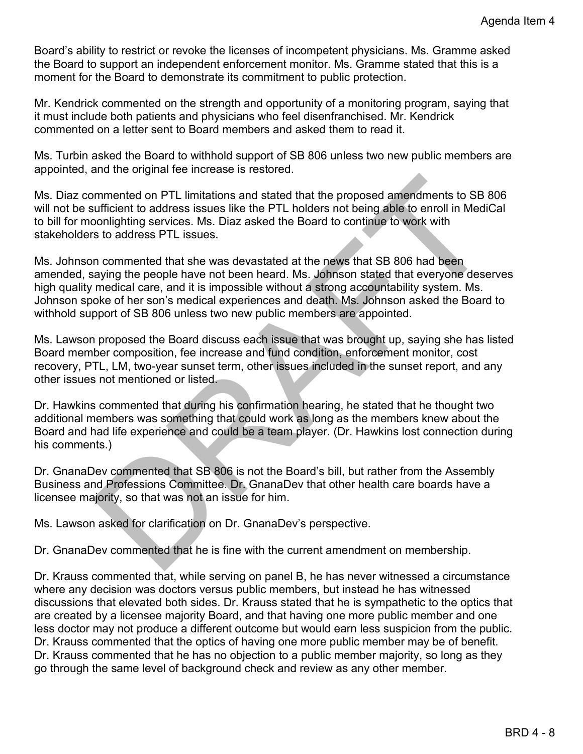Board's ability to restrict or revoke the licenses of incompetent physicians. Ms. Gramme asked the Board to support an independent enforcement monitor. Ms. Gramme stated that this is a moment for the Board to demonstrate its commitment to public protection.

Mr. Kendrick commented on the strength and opportunity of a monitoring program, saying that it must include both patients and physicians who feel disenfranchised. Mr. Kendrick commented on a letter sent to Board members and asked them to read it.

Ms. Turbin asked the Board to withhold support of SB 806 unless two new public members are appointed, and the original fee increase is restored.

Ms. Diaz commented on PTL limitations and stated that the proposed amendments to SB 806 will not be sufficient to address issues like the PTL holders not being able to enroll in MediCal to bill for moonlighting services. Ms. Diaz asked the Board to continue to work with stakeholders to address PTL issues.

mmented on PTL limitations and stated that the proposed amendments to SB 806<br>utificient to address issues like the PTL holders not being able to enroll in MediCal<br>ontificient to address issues like the PTL holders not bein Ms. Johnson commented that she was devastated at the news that SB 806 had been amended, saying the people have not been heard. Ms. Johnson stated that everyone deserves high quality medical care, and it is impossible without a strong accountability system. Ms. Johnson spoke of her son's medical experiences and death. Ms. Johnson asked the Board to withhold support of SB 806 unless two new public members are appointed.

Ms. Lawson proposed the Board discuss each issue that was brought up, saying she has listed Board member composition, fee increase and fund condition, enforcement monitor, cost recovery, PTL, LM, two-year sunset term, other issues included in the sunset report, and any other issues not mentioned or listed.

Dr. Hawkins commented that during his confirmation hearing, he stated that he thought two additional members was something that could work as long as the members knew about the Board and had life experience and could be a team player. (Dr. Hawkins lost connection during his comments.)

Dr. GnanaDev commented that SB 806 is not the Board's bill, but rather from the Assembly Business and Professions Committee. Dr. GnanaDev that other health care boards have a licensee majority, so that was not an issue for him.

Ms. Lawson asked for clarification on Dr. GnanaDev's perspective.

Dr. GnanaDev commented that he is fine with the current amendment on membership.

Dr. Krauss commented that, while serving on panel B, he has never witnessed a circumstance where any decision was doctors versus public members, but instead he has witnessed discussions that elevated both sides. Dr. Krauss stated that he is sympathetic to the optics that are created by a licensee majority Board, and that having one more public member and one less doctor may not produce a different outcome but would earn less suspicion from the public. Dr. Krauss commented that the optics of having one more public member may be of benefit. Dr. Krauss commented that he has no objection to a public member majority, so long as they go through the same level of background check and review as any other member.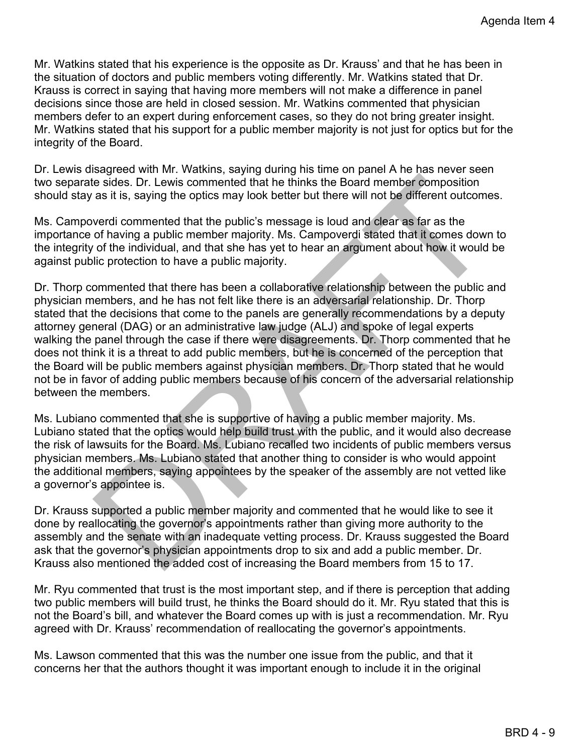Mr. Watkins stated that his experience is the opposite as Dr. Krauss' and that he has been in the situation of doctors and public members voting differently. Mr. Watkins stated that Dr. Krauss is correct in saying that having more members will not make a difference in panel decisions since those are held in closed session. Mr. Watkins commented that physician members defer to an expert during enforcement cases, so they do not bring greater insight. Mr. Watkins stated that his support for a public member majority is not just for optics but for the integrity of the Board.

Dr. Lewis disagreed with Mr. Watkins, saying during his time on panel A he has never seen two separate sides. Dr. Lewis commented that he thinks the Board member composition should stay as it is, saying the optics may look better but there will not be different outcomes.

Ms. Campoverdi commented that the public's message is loud and clear as far as the importance of having a public member majority. Ms. Campoverdi stated that it comes down to the integrity of the individual, and that she has yet to hear an argument about how it would be against public protection to have a public majority.

is exides. Dr. Lewis commented that he thinks the Board member composition<br>as it is, saying the optics may look better but there will not be different outcomes.<br>werd commented that the public's message is loud and declare Dr. Thorp commented that there has been a collaborative relationship between the public and physician members, and he has not felt like there is an adversarial relationship. Dr. Thorp stated that the decisions that come to the panels are generally recommendations by a deputy attorney general (DAG) or an administrative law judge (ALJ) and spoke of legal experts walking the panel through the case if there were disagreements. Dr. Thorp commented that he does not think it is a threat to add public members, but he is concerned of the perception that the Board will be public members against physician members. Dr. Thorp stated that he would not be in favor of adding public members because of his concern of the adversarial relationship between the members.

Ms. Lubiano commented that she is supportive of having a public member majority. Ms. Lubiano stated that the optics would help build trust with the public, and it would also decrease the risk of lawsuits for the Board. Ms. Lubiano recalled two incidents of public members versus physician members. Ms. Lubiano stated that another thing to consider is who would appoint the additional members, saying appointees by the speaker of the assembly are not vetted like a governor's appointee is.

Dr. Krauss supported a public member majority and commented that he would like to see it done by reallocating the governor's appointments rather than giving more authority to the assembly and the senate with an inadequate vetting process. Dr. Krauss suggested the Board ask that the governor's physician appointments drop to six and add a public member. Dr. Krauss also mentioned the added cost of increasing the Board members from 15 to 17.

Mr. Ryu commented that trust is the most important step, and if there is perception that adding two public members will build trust, he thinks the Board should do it. Mr. Ryu stated that this is not the Board's bill, and whatever the Board comes up with is just a recommendation. Mr. Ryu agreed with Dr. Krauss' recommendation of reallocating the governor's appointments.

Ms. Lawson commented that this was the number one issue from the public, and that it concerns her that the authors thought it was important enough to include it in the original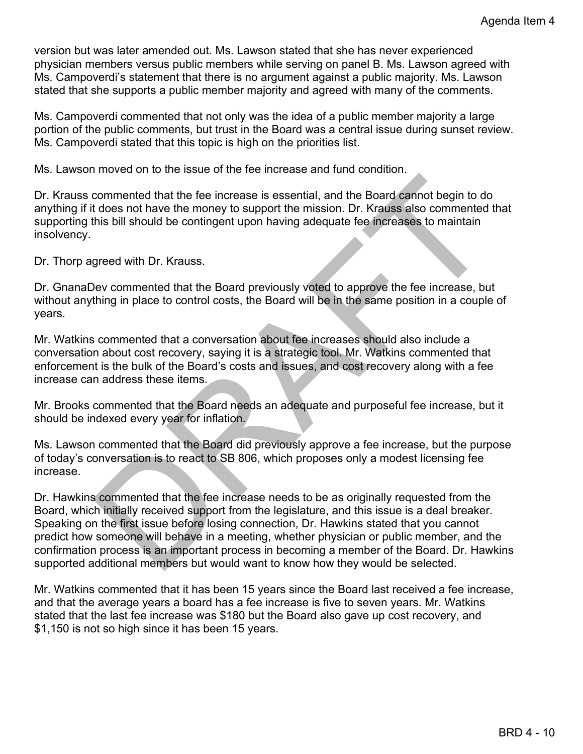version but was later amended out. Ms. Lawson stated that she has never experienced physician members versus public members while serving on panel B. Ms. Lawson agreed with Ms. Campoverdi's statement that there is no argument against a public majority. Ms. Lawson stated that she supports a public member majority and agreed with many of the comments.

Ms. Campoverdi commented that not only was the idea of a public member majority a large portion of the public comments, but trust in the Board was a central issue during sunset review. Ms. Campoverdi stated that this topic is high on the priorities list.

Ms. Lawson moved on to the issue of the fee increase and fund condition.

Dr. Krauss commented that the fee increase is essential, and the Board cannot begin to do anything if it does not have the money to support the mission. Dr. Krauss also commented that supporting this bill should be contingent upon having adequate fee increases to maintain insolvency.

Dr. Thorp agreed with Dr. Krauss.

Dr. GnanaDev commented that the Board previously voted to approve the fee increase, but without anything in place to control costs, the Board will be in the same position in a couple of years.

Mr. Watkins commented that a conversation about fee increases should also include a conversation about cost recovery, saying it is a strategic tool. Mr. Watkins commented that enforcement is the bulk of the Board's costs and issues, and cost recovery along with a fee increase can address these items.

Mr. Brooks commented that the Board needs an adequate and purposeful fee increase, but it should be indexed every year for inflation.

Ms. Lawson commented that the Board did previously approve a fee increase, but the purpose of today's conversation is to react to SB 806, which proposes only a modest licensing fee increase.

commented that the fee increase is essential, and the Board cannot begin to do<br>t does not have the money to support the mission. Dr. Krauss also commented that<br>this bill should be contingent upon having adequate fee increa Dr. Hawkins commented that the fee increase needs to be as originally requested from the Board, which initially received support from the legislature, and this issue is a deal breaker. Speaking on the first issue before losing connection, Dr. Hawkins stated that you cannot predict how someone will behave in a meeting, whether physician or public member, and the confirmation process is an important process in becoming a member of the Board. Dr. Hawkins supported additional members but would want to know how they would be selected.

Mr. Watkins commented that it has been 15 years since the Board last received a fee increase, and that the average years a board has a fee increase is five to seven years. Mr. Watkins stated that the last fee increase was \$180 but the Board also gave up cost recovery, and \$1,150 is not so high since it has been 15 years.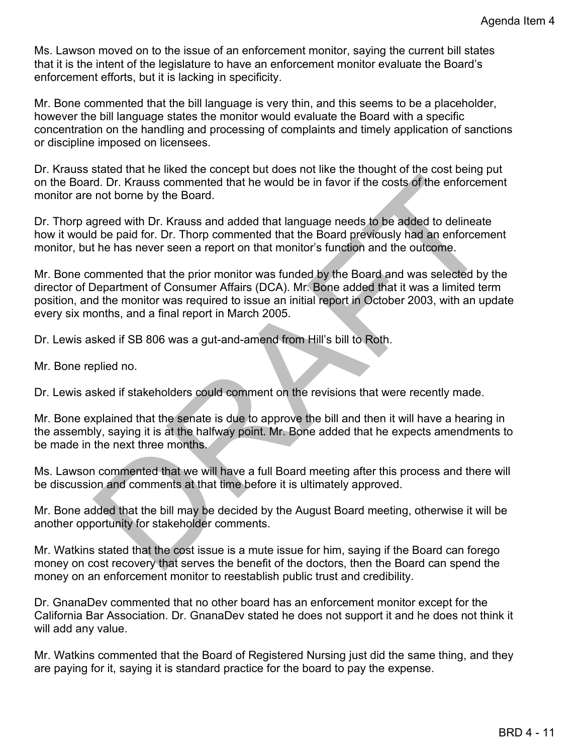Ms. Lawson moved on to the issue of an enforcement monitor, saying the current bill states that it is the intent of the legislature to have an enforcement monitor evaluate the Board's enforcement efforts, but it is lacking in specificity.

Mr. Bone commented that the bill language is very thin, and this seems to be a placeholder, however the bill language states the monitor would evaluate the Board with a specific concentration on the handling and processing of complaints and timely application of sanctions or discipline imposed on licensees.

Dr. Krauss stated that he liked the concept but does not like the thought of the cost being put on the Board. Dr. Krauss commented that he would be in favor if the costs of the enforcement monitor are not borne by the Board.

Dr. Thorp agreed with Dr. Krauss and added that language needs to be added to delineate how it would be paid for. Dr. Thorp commented that the Board previously had an enforcement monitor, but he has never seen a report on that monitor's function and the outcome.

d. Dr. Krauss commented that he would be in favor if the costs of the enforcement<br>ord borne by the Board.<br>The greed with Dr. Krauss and added that language needs to be added to delineate<br>the peat of the D. Dr. Thorp commen Mr. Bone commented that the prior monitor was funded by the Board and was selected by the director of Department of Consumer Affairs (DCA). Mr. Bone added that it was a limited term position, and the monitor was required to issue an initial report in October 2003, with an update every six months, and a final report in March 2005.

Dr. Lewis asked if SB 806 was a gut-and-amend from Hill's bill to Roth.

Mr. Bone replied no.

Dr. Lewis asked if stakeholders could comment on the revisions that were recently made.

Mr. Bone explained that the senate is due to approve the bill and then it will have a hearing in the assembly, saying it is at the halfway point. Mr. Bone added that he expects amendments to be made in the next three months.

Ms. Lawson commented that we will have a full Board meeting after this process and there will be discussion and comments at that time before it is ultimately approved.

Mr. Bone added that the bill may be decided by the August Board meeting, otherwise it will be another opportunity for stakeholder comments.

Mr. Watkins stated that the cost issue is a mute issue for him, saying if the Board can forego money on cost recovery that serves the benefit of the doctors, then the Board can spend the money on an enforcement monitor to reestablish public trust and credibility.

Dr. GnanaDev commented that no other board has an enforcement monitor except for the California Bar Association. Dr. GnanaDev stated he does not support it and he does not think it will add any value.

Mr. Watkins commented that the Board of Registered Nursing just did the same thing, and they are paying for it, saying it is standard practice for the board to pay the expense.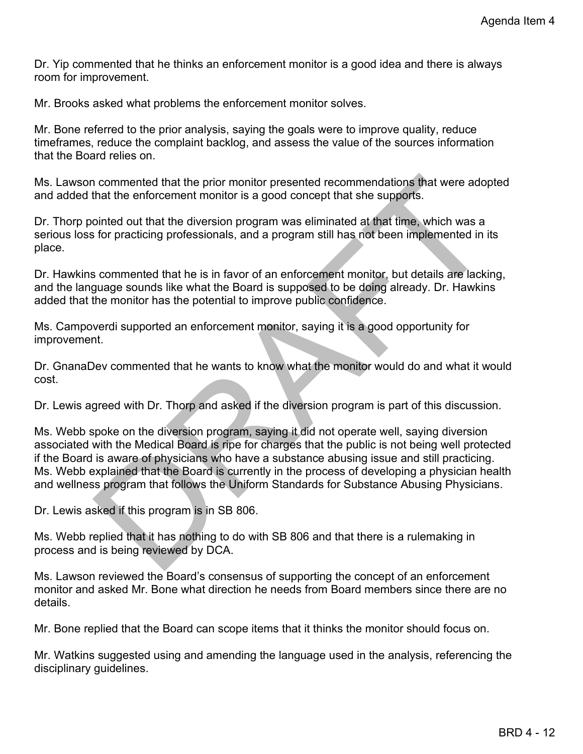Dr. Yip commented that he thinks an enforcement monitor is a good idea and there is always room for improvement.

Mr. Brooks asked what problems the enforcement monitor solves.

Mr. Bone referred to the prior analysis, saying the goals were to improve quality, reduce timeframes, reduce the complaint backlog, and assess the value of the sources information that the Board relies on.

Ms. Lawson commented that the prior monitor presented recommendations that were adopted and added that the enforcement monitor is a good concept that she supports.

Dr. Thorp pointed out that the diversion program was eliminated at that time, which was a serious loss for practicing professionals, and a program still has not been implemented in its place.

Dr. Hawkins commented that he is in favor of an enforcement monitor, but details are lacking, and the language sounds like what the Board is supposed to be doing already. Dr. Hawkins added that the monitor has the potential to improve public confidence.

Ms. Campoverdi supported an enforcement monitor, saying it is a good opportunity for improvement.

Dr. GnanaDev commented that he wants to know what the monitor would do and what it would cost.

Dr. Lewis agreed with Dr. Thorp and asked if the diversion program is part of this discussion.

n commented that the prior monitor presented recommendations that were adopted<br>that the enforcement monitor is a good concept that she supports.<br>
Sointed out that the diversion program was eliminated at that time, which wa Ms. Webb spoke on the diversion program, saying it did not operate well, saying diversion associated with the Medical Board is ripe for charges that the public is not being well protected if the Board is aware of physicians who have a substance abusing issue and still practicing. Ms. Webb explained that the Board is currently in the process of developing a physician health and wellness program that follows the Uniform Standards for Substance Abusing Physicians.

Dr. Lewis asked if this program is in SB 806.

Ms. Webb replied that it has nothing to do with SB 806 and that there is a rulemaking in process and is being reviewed by DCA.

Ms. Lawson reviewed the Board's consensus of supporting the concept of an enforcement monitor and asked Mr. Bone what direction he needs from Board members since there are no details.

Mr. Bone replied that the Board can scope items that it thinks the monitor should focus on.

Mr. Watkins suggested using and amending the language used in the analysis, referencing the disciplinary guidelines.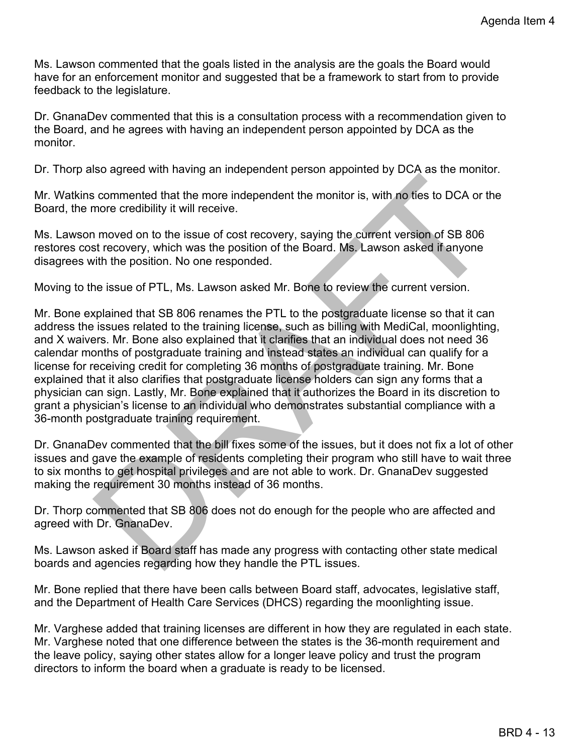Ms. Lawson commented that the goals listed in the analysis are the goals the Board would have for an enforcement monitor and suggested that be a framework to start from to provide feedback to the legislature.

Dr. GnanaDev commented that this is a consultation process with a recommendation given to the Board, and he agrees with having an independent person appointed by DCA as the monitor.

Dr. Thorp also agreed with having an independent person appointed by DCA as the monitor.

Mr. Watkins commented that the more independent the monitor is, with no ties to DCA or the Board, the more credibility it will receive.

Ms. Lawson moved on to the issue of cost recovery, saying the current version of SB 806 restores cost recovery, which was the position of the Board. Ms. Lawson asked if anyone disagrees with the position. No one responded.

Moving to the issue of PTL, Ms. Lawson asked Mr. Bone to review the current version.

is commented that the more independent the monitor is, with no ties to DCA or the<br>more credibility it will receive.<br>In moved on to the issue of cost recovery, saying the current version of SB 806<br>st recovery, which was the Mr. Bone explained that SB 806 renames the PTL to the postgraduate license so that it can address the issues related to the training license, such as billing with MediCal, moonlighting, and X waivers. Mr. Bone also explained that it clarifies that an individual does not need 36 calendar months of postgraduate training and instead states an individual can qualify for a license for receiving credit for completing 36 months of postgraduate training. Mr. Bone explained that it also clarifies that postgraduate license holders can sign any forms that a physician can sign. Lastly, Mr. Bone explained that it authorizes the Board in its discretion to grant a physician's license to an individual who demonstrates substantial compliance with a 36-month postgraduate training requirement.

Dr. GnanaDev commented that the bill fixes some of the issues, but it does not fix a lot of other issues and gave the example of residents completing their program who still have to wait three to six months to get hospital privileges and are not able to work. Dr. GnanaDev suggested making the requirement 30 months instead of 36 months.

Dr. Thorp commented that SB 806 does not do enough for the people who are affected and agreed with Dr. GnanaDev.

Ms. Lawson asked if Board staff has made any progress with contacting other state medical boards and agencies regarding how they handle the PTL issues.

Mr. Bone replied that there have been calls between Board staff, advocates, legislative staff, and the Department of Health Care Services (DHCS) regarding the moonlighting issue.

Mr. Varghese added that training licenses are different in how they are regulated in each state. Mr. Varghese noted that one difference between the states is the 36-month requirement and the leave policy, saying other states allow for a longer leave policy and trust the program directors to inform the board when a graduate is ready to be licensed.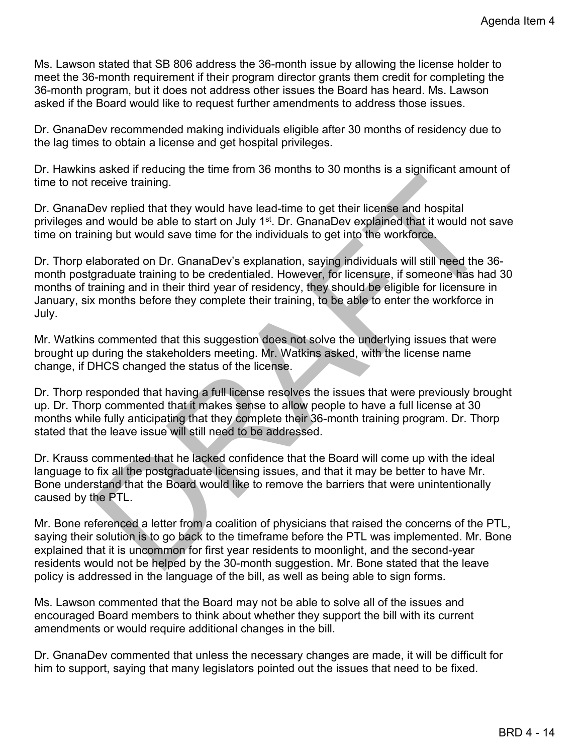Ms. Lawson stated that SB 806 address the 36-month issue by allowing the license holder to meet the 36-month requirement if their program director grants them credit for completing the 36-month program, but it does not address other issues the Board has heard. Ms. Lawson asked if the Board would like to request further amendments to address those issues.

Dr. GnanaDev recommended making individuals eligible after 30 months of residency due to the lag times to obtain a license and get hospital privileges.

Dr. Hawkins asked if reducing the time from 36 months to 30 months is a significant amount of time to not receive training.

Dr. GnanaDev replied that they would have lead-time to get their license and hospital privileges and would be able to start on July 1<sup>st</sup>. Dr. GnanaDev explained that it would not save time on training but would save time for the individuals to get into the workforce.

receive training.<br>
Nev replied that they would have lead-time to get their license and hospital<br>
med would be able to start on July 1<sup>41</sup>: Dr. GnanaDev explained that it would not save<br>
hing but would save time for the ind Dr. Thorp elaborated on Dr. GnanaDev's explanation, saying individuals will still need the 36 month postgraduate training to be credentialed. However, for licensure, if someone has had 30 months of training and in their third year of residency, they should be eligible for licensure in January, six months before they complete their training, to be able to enter the workforce in July.

Mr. Watkins commented that this suggestion does not solve the underlying issues that were brought up during the stakeholders meeting. Mr. Watkins asked, with the license name change, if DHCS changed the status of the license.

Dr. Thorp responded that having a full license resolves the issues that were previously brought up. Dr. Thorp commented that it makes sense to allow people to have a full license at 30 months while fully anticipating that they complete their 36-month training program. Dr. Thorp stated that the leave issue will still need to be addressed.

Dr. Krauss commented that he lacked confidence that the Board will come up with the ideal language to fix all the postgraduate licensing issues, and that it may be better to have Mr. Bone understand that the Board would like to remove the barriers that were unintentionally caused by the PTL.

Mr. Bone referenced a letter from a coalition of physicians that raised the concerns of the PTL, saying their solution is to go back to the timeframe before the PTL was implemented. Mr. Bone explained that it is uncommon for first year residents to moonlight, and the second-year residents would not be helped by the 30-month suggestion. Mr. Bone stated that the leave policy is addressed in the language of the bill, as well as being able to sign forms.

Ms. Lawson commented that the Board may not be able to solve all of the issues and encouraged Board members to think about whether they support the bill with its current amendments or would require additional changes in the bill.

Dr. GnanaDev commented that unless the necessary changes are made, it will be difficult for him to support, saying that many legislators pointed out the issues that need to be fixed.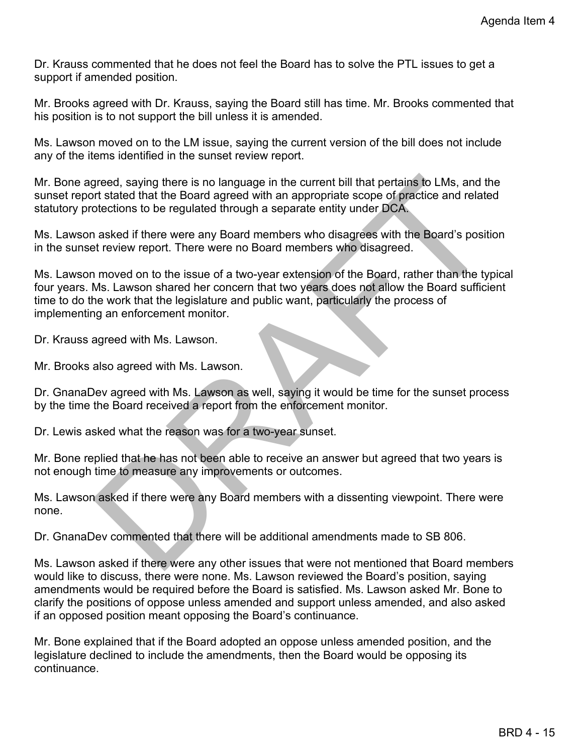Dr. Krauss commented that he does not feel the Board has to solve the PTL issues to get a support if amended position.

Mr. Brooks agreed with Dr. Krauss, saying the Board still has time. Mr. Brooks commented that his position is to not support the bill unless it is amended.

Ms. Lawson moved on to the LM issue, saying the current version of the bill does not include any of the items identified in the sunset review report.

Mr. Bone agreed, saying there is no language in the current bill that pertains to LMs, and the sunset report stated that the Board agreed with an appropriate scope of practice and related statutory protections to be regulated through a separate entity under DCA.

Ms. Lawson asked if there were any Board members who disagrees with the Board's position in the sunset review report. There were no Board members who disagreed.

greed, saying there is no language in the current bill that pertains to LMs, and the<br>it stated that the Board agreed with an appropriate scope of practice and related<br>otections to be regulated through a separate entity und Ms. Lawson moved on to the issue of a two-year extension of the Board, rather than the typical four years. Ms. Lawson shared her concern that two years does not allow the Board sufficient time to do the work that the legislature and public want, particularly the process of implementing an enforcement monitor.

Dr. Krauss agreed with Ms. Lawson.

Mr. Brooks also agreed with Ms. Lawson.

Dr. GnanaDev agreed with Ms. Lawson as well, saying it would be time for the sunset process by the time the Board received a report from the enforcement monitor.

Dr. Lewis asked what the reason was for a two-year sunset.

Mr. Bone replied that he has not been able to receive an answer but agreed that two years is not enough time to measure any improvements or outcomes.

Ms. Lawson asked if there were any Board members with a dissenting viewpoint. There were none.

Dr. GnanaDev commented that there will be additional amendments made to SB 806.

Ms. Lawson asked if there were any other issues that were not mentioned that Board members would like to discuss, there were none. Ms. Lawson reviewed the Board's position, saying amendments would be required before the Board is satisfied. Ms. Lawson asked Mr. Bone to clarify the positions of oppose unless amended and support unless amended, and also asked if an opposed position meant opposing the Board's continuance.

Mr. Bone explained that if the Board adopted an oppose unless amended position, and the legislature declined to include the amendments, then the Board would be opposing its continuance.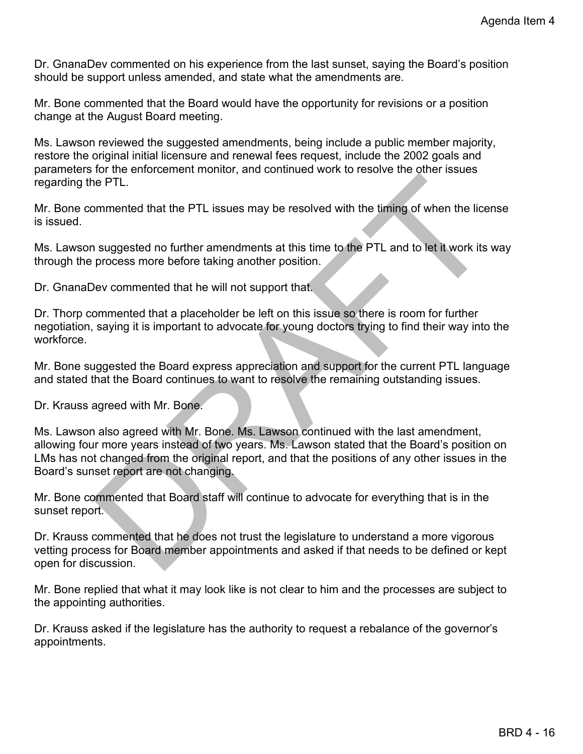Dr. GnanaDev commented on his experience from the last sunset, saying the Board's position should be support unless amended, and state what the amendments are.

Mr. Bone commented that the Board would have the opportunity for revisions or a position change at the August Board meeting.

Ms. Lawson reviewed the suggested amendments, being include a public member majority, restore the original initial licensure and renewal fees request, include the 2002 goals and parameters for the enforcement monitor, and continued work to resolve the other issues regarding the PTL.

Mr. Bone commented that the PTL issues may be resolved with the timing of when the license is issued.

Ms. Lawson suggested no further amendments at this time to the PTL and to let it work its way through the process more before taking another position.

Dr. GnanaDev commented that he will not support that.

Dr. Thorp commented that a placeholder be left on this issue so there is room for further negotiation, saying it is important to advocate for young doctors trying to find their way into the workforce.

Mr. Bone suggested the Board express appreciation and support for the current PTL language and stated that the Board continues to want to resolve the remaining outstanding issues.

Dr. Krauss agreed with Mr. Bone.

e PTL.<br>
Sommerted that the PTL issues may be resolved with the timing of when the license<br>
is suggested no further amendments at this time to the PTL and to let it work its way<br>
process more before taking another position. Ms. Lawson also agreed with Mr. Bone. Ms. Lawson continued with the last amendment, allowing four more years instead of two years. Ms. Lawson stated that the Board's position on LMs has not changed from the original report, and that the positions of any other issues in the Board's sunset report are not changing.

Mr. Bone commented that Board staff will continue to advocate for everything that is in the sunset report.

Dr. Krauss commented that he does not trust the legislature to understand a more vigorous vetting process for Board member appointments and asked if that needs to be defined or kept open for discussion.

Mr. Bone replied that what it may look like is not clear to him and the processes are subject to the appointing authorities.

Dr. Krauss asked if the legislature has the authority to request a rebalance of the governor's appointments.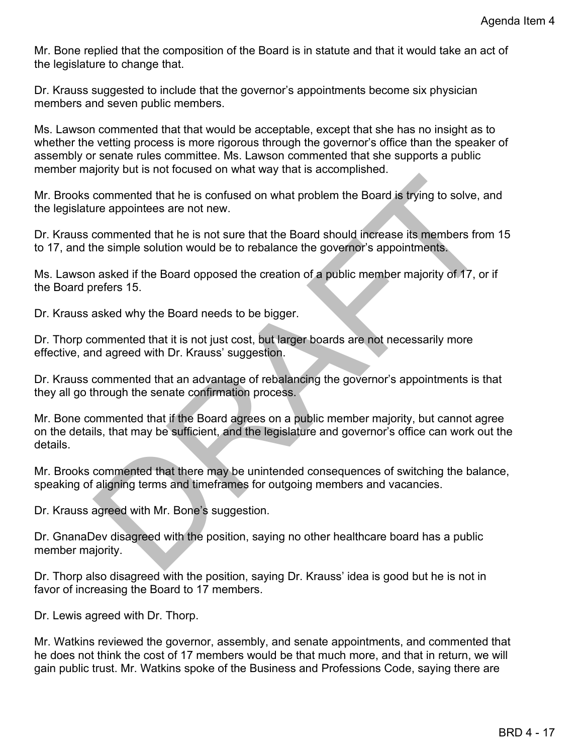Mr. Bone replied that the composition of the Board is in statute and that it would take an act of the legislature to change that.

Dr. Krauss suggested to include that the governor's appointments become six physician members and seven public members.

Ms. Lawson commented that that would be acceptable, except that she has no insight as to whether the vetting process is more rigorous through the governor's office than the speaker of assembly or senate rules committee. Ms. Lawson commented that she supports a public member majority but is not focused on what way that is accomplished.

Mr. Brooks commented that he is confused on what problem the Board is trying to solve, and the legislature appointees are not new.

Dr. Krauss commented that he is not sure that the Board should increase its members from 15 to 17, and the simple solution would be to rebalance the governor's appointments.

Ms. Lawson asked if the Board opposed the creation of a public member majority of 17, or if the Board prefers 15.

Dr. Krauss asked why the Board needs to be bigger.

Dr. Thorp commented that it is not just cost, but larger boards are not necessarily more effective, and agreed with Dr. Krauss' suggestion.

Dr. Krauss commented that an advantage of rebalancing the governor's appointments is that they all go through the senate confirmation process.

commented that he is confused on what problem the Board is trying to solve, and<br>the appointees are not new.<br>commented that he is not sure that the Board should increase its members from 15<br>he simple solution would be to re Mr. Bone commented that if the Board agrees on a public member majority, but cannot agree on the details, that may be sufficient, and the legislature and governor's office can work out the details.

Mr. Brooks commented that there may be unintended consequences of switching the balance, speaking of aligning terms and timeframes for outgoing members and vacancies.

Dr. Krauss agreed with Mr. Bone's suggestion.

Dr. GnanaDev disagreed with the position, saying no other healthcare board has a public member majority.

Dr. Thorp also disagreed with the position, saying Dr. Krauss' idea is good but he is not in favor of increasing the Board to 17 members.

Dr. Lewis agreed with Dr. Thorp.

Mr. Watkins reviewed the governor, assembly, and senate appointments, and commented that he does not think the cost of 17 members would be that much more, and that in return, we will gain public trust. Mr. Watkins spoke of the Business and Professions Code, saying there are